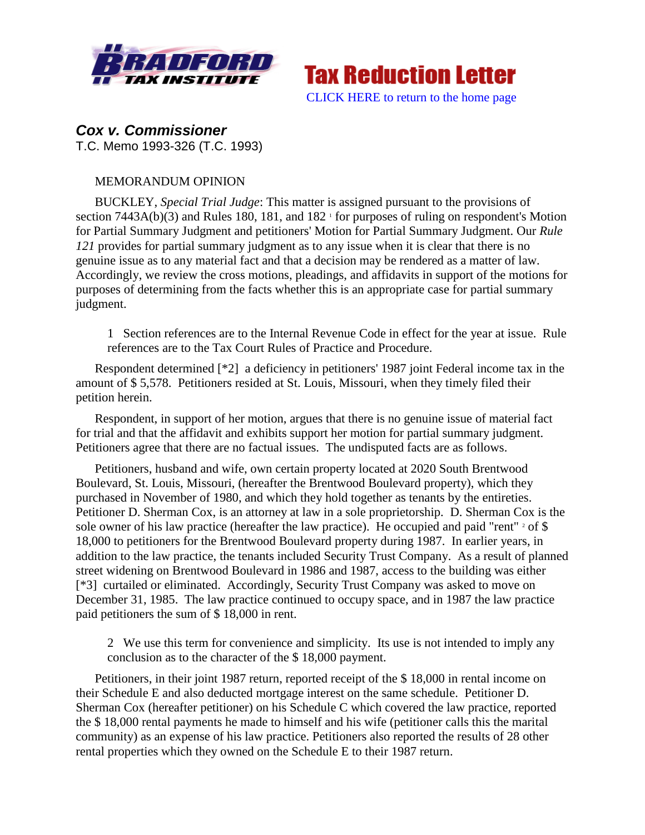



*Cox v. Commissioner* T.C. Memo 1993-326 (T.C. 1993)

## MEMORANDUM OPINION

BUCKLEY, *Special Trial Judge*: This matter is assigned pursuant to the provisions of section  $7443A(b)(3)$  and Rules 180, 181, and 182<sup> $\text{ }$ </sup> for purposes of ruling on respondent's Motion for Partial Summary Judgment and petitioners' Motion for Partial Summary Judgment. Our *Rule 121* provides for partial summary judgment as to any issue when it is clear that there is no genuine issue as to any material fact and that a decision may be rendered as a matter of law. Accordingly, we review the cross motions, pleadings, and affidavits in support of the motions for purposes of determining from the facts whether this is an appropriate case for partial summary judgment.

1 Section references are to the Internal Revenue Code in effect for the year at issue. Rule references are to the Tax Court Rules of Practice and Procedure.

Respondent determined [\*2] a deficiency in petitioners' 1987 joint Federal income tax in the amount of \$ 5,578. Petitioners resided at St. Louis, Missouri, when they timely filed their petition herein.

Respondent, in support of her motion, argues that there is no genuine issue of material fact for trial and that the affidavit and exhibits support her motion for partial summary judgment. Petitioners agree that there are no factual issues. The undisputed facts are as follows.

Petitioners, husband and wife, own certain property located at 2020 South Brentwood Boulevard, St. Louis, Missouri, (hereafter the Brentwood Boulevard property), which they purchased in November of 1980, and which they hold together as tenants by the entireties. Petitioner D. Sherman Cox, is an attorney at law in a sole proprietorship. D. Sherman Cox is the sole owner of his law practice (hereafter the law practice). He occupied and paid "rent"  $2$  of \$ 18,000 to petitioners for the Brentwood Boulevard property during 1987. In earlier years, in addition to the law practice, the tenants included Security Trust Company. As a result of planned street widening on Brentwood Boulevard in 1986 and 1987, access to the building was either [\*3] curtailed or eliminated. Accordingly, Security Trust Company was asked to move on December 31, 1985. The law practice continued to occupy space, and in 1987 the law practice paid petitioners the sum of \$ 18,000 in rent.

2 We use this term for convenience and simplicity. Its use is not intended to imply any conclusion as to the character of the \$ 18,000 payment.

Petitioners, in their joint 1987 return, reported receipt of the \$ 18,000 in rental income on their Schedule E and also deducted mortgage interest on the same schedule. Petitioner D. Sherman Cox (hereafter petitioner) on his Schedule C which covered the law practice, reported the \$ 18,000 rental payments he made to himself and his wife (petitioner calls this the marital community) as an expense of his law practice. Petitioners also reported the results of 28 other rental properties which they owned on the Schedule E to their 1987 return.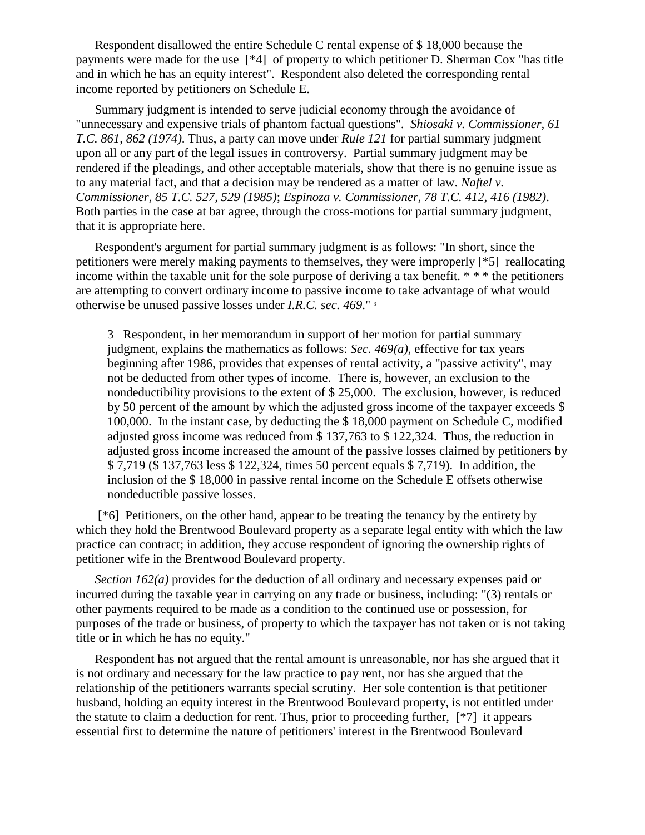Respondent disallowed the entire Schedule C rental expense of \$ 18,000 because the payments were made for the use [\*4] of property to which petitioner D. Sherman Cox "has title and in which he has an equity interest". Respondent also deleted the corresponding rental income reported by petitioners on Schedule E.

Summary judgment is intended to serve judicial economy through the avoidance of "unnecessary and expensive trials of phantom factual questions". *Shiosaki v. Commissioner, 61 T.C. 861, 862 (1974)*. Thus, a party can move under *Rule 121* for partial summary judgment upon all or any part of the legal issues in controversy. Partial summary judgment may be rendered if the pleadings, and other acceptable materials, show that there is no genuine issue as to any material fact, and that a decision may be rendered as a matter of law. *Naftel v. Commissioner, 85 T.C. 527, 529 (1985)*; *Espinoza v. Commissioner, 78 T.C. 412, 416 (1982)*. Both parties in the case at bar agree, through the cross-motions for partial summary judgment, that it is appropriate here.

Respondent's argument for partial summary judgment is as follows: "In short, since the petitioners were merely making payments to themselves, they were improperly [\*5] reallocating income within the taxable unit for the sole purpose of deriving a tax benefit. \* \* \* the petitioners are attempting to convert ordinary income to passive income to take advantage of what would otherwise be unused passive losses under *I.R.C. sec. 469*." <sup>3</sup>

3 Respondent, in her memorandum in support of her motion for partial summary judgment, explains the mathematics as follows: *Sec. 469(a)*, effective for tax years beginning after 1986, provides that expenses of rental activity, a "passive activity", may not be deducted from other types of income. There is, however, an exclusion to the nondeductibility provisions to the extent of \$ 25,000. The exclusion, however, is reduced by 50 percent of the amount by which the adjusted gross income of the taxpayer exceeds \$ 100,000. In the instant case, by deducting the \$ 18,000 payment on Schedule C, modified adjusted gross income was reduced from \$ 137,763 to \$ 122,324. Thus, the reduction in adjusted gross income increased the amount of the passive losses claimed by petitioners by \$ 7,719 (\$ 137,763 less \$ 122,324, times 50 percent equals \$ 7,719). In addition, the inclusion of the \$ 18,000 in passive rental income on the Schedule E offsets otherwise nondeductible passive losses.

[\*6] Petitioners, on the other hand, appear to be treating the tenancy by the entirety by which they hold the Brentwood Boulevard property as a separate legal entity with which the law practice can contract; in addition, they accuse respondent of ignoring the ownership rights of petitioner wife in the Brentwood Boulevard property.

*Section 162(a)* provides for the deduction of all ordinary and necessary expenses paid or incurred during the taxable year in carrying on any trade or business, including: "(3) rentals or other payments required to be made as a condition to the continued use or possession, for purposes of the trade or business, of property to which the taxpayer has not taken or is not taking title or in which he has no equity."

Respondent has not argued that the rental amount is unreasonable, nor has she argued that it is not ordinary and necessary for the law practice to pay rent, nor has she argued that the relationship of the petitioners warrants special scrutiny. Her sole contention is that petitioner husband, holding an equity interest in the Brentwood Boulevard property, is not entitled under the statute to claim a deduction for rent. Thus, prior to proceeding further, [\*7] it appears essential first to determine the nature of petitioners' interest in the Brentwood Boulevard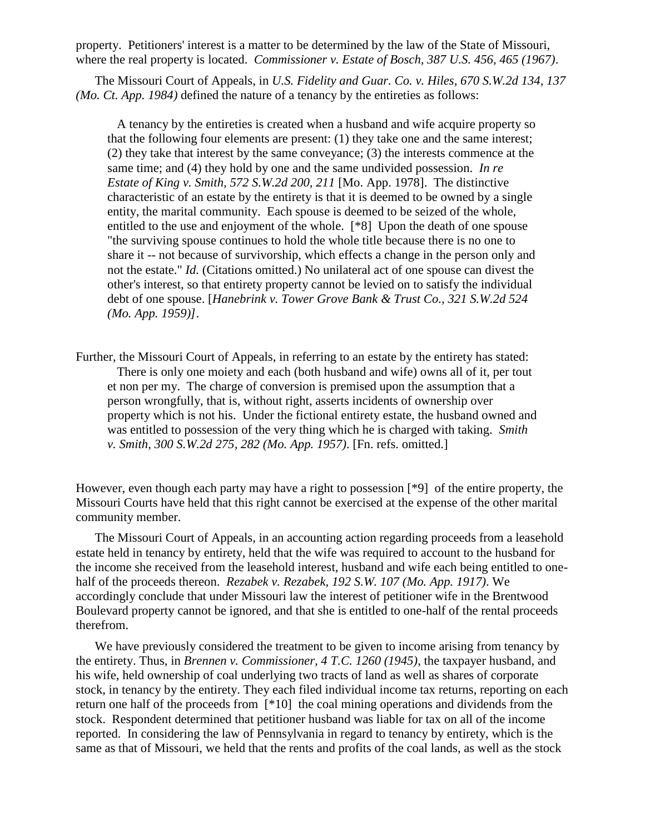property. Petitioners' interest is a matter to be determined by the law of the State of Missouri, where the real property is located. *Commissioner v. Estate of Bosch, 387 U.S. 456, 465 (1967)*.

The Missouri Court of Appeals, in *U.S. Fidelity and Guar. Co. v. Hiles, 670 S.W.2d 134, 137 (Mo. Ct. App. 1984)* defined the nature of a tenancy by the entireties as follows:

 A tenancy by the entireties is created when a husband and wife acquire property so that the following four elements are present: (1) they take one and the same interest; (2) they take that interest by the same conveyance; (3) the interests commence at the same time; and (4) they hold by one and the same undivided possession. *In re Estate of King v. Smith, 572 S.W.2d 200, 211* [Mo. App. 1978]. The distinctive characteristic of an estate by the entirety is that it is deemed to be owned by a single entity, the marital community. Each spouse is deemed to be seized of the whole, entitled to the use and enjoyment of the whole. [\*8] Upon the death of one spouse "the surviving spouse continues to hold the whole title because there is no one to share it -- not because of survivorship, which effects a change in the person only and not the estate." *Id.* (Citations omitted.) No unilateral act of one spouse can divest the other's interest, so that entirety property cannot be levied on to satisfy the individual debt of one spouse. [*Hanebrink v. Tower Grove Bank & Trust Co., 321 S.W.2d 524 (Mo. App. 1959)]*.

Further, the Missouri Court of Appeals, in referring to an estate by the entirety has stated: There is only one moiety and each (both husband and wife) owns all of it, per tout et non per my. The charge of conversion is premised upon the assumption that a person wrongfully, that is, without right, asserts incidents of ownership over property which is not his. Under the fictional entirety estate, the husband owned and was entitled to possession of the very thing which he is charged with taking. *Smith v. Smith, 300 S.W.2d 275, 282 (Mo. App. 1957)*. [Fn. refs. omitted.]

However, even though each party may have a right to possession [\*9] of the entire property, the Missouri Courts have held that this right cannot be exercised at the expense of the other marital community member.

The Missouri Court of Appeals, in an accounting action regarding proceeds from a leasehold estate held in tenancy by entirety, held that the wife was required to account to the husband for the income she received from the leasehold interest, husband and wife each being entitled to onehalf of the proceeds thereon. *Rezabek v. Rezabek, 192 S.W. 107 (Mo. App. 1917)*. We accordingly conclude that under Missouri law the interest of petitioner wife in the Brentwood Boulevard property cannot be ignored, and that she is entitled to one-half of the rental proceeds therefrom.

We have previously considered the treatment to be given to income arising from tenancy by the entirety. Thus, in *Brennen v. Commissioner, 4 T.C. 1260 (1945)*, the taxpayer husband, and his wife, held ownership of coal underlying two tracts of land as well as shares of corporate stock, in tenancy by the entirety. They each filed individual income tax returns, reporting on each return one half of the proceeds from [\*10] the coal mining operations and dividends from the stock. Respondent determined that petitioner husband was liable for tax on all of the income reported. In considering the law of Pennsylvania in regard to tenancy by entirety, which is the same as that of Missouri, we held that the rents and profits of the coal lands, as well as the stock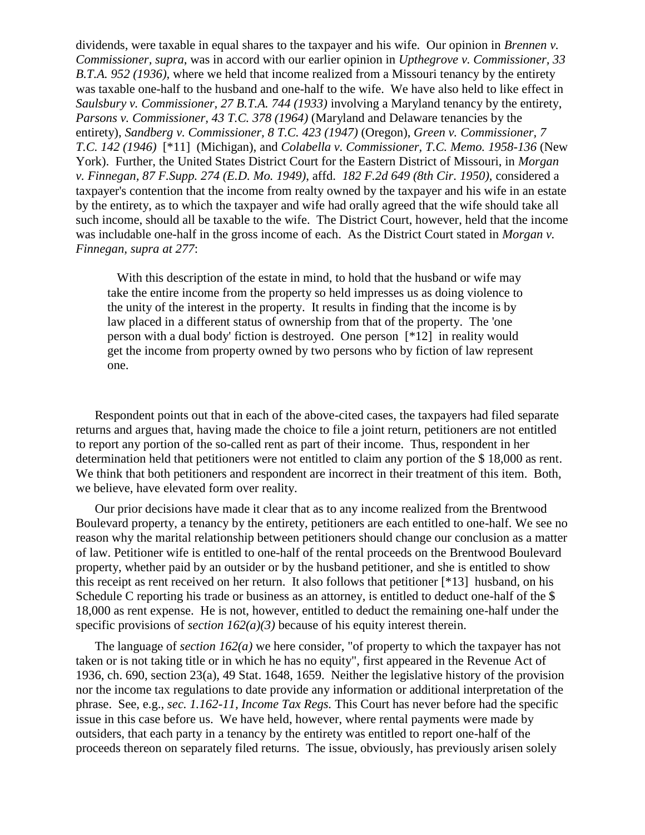dividends, were taxable in equal shares to the taxpayer and his wife. Our opinion in *Brennen v. Commissioner, supra*, was in accord with our earlier opinion in *Upthegrove v. Commissioner, 33 B.T.A. 952 (1936)*, where we held that income realized from a Missouri tenancy by the entirety was taxable one-half to the husband and one-half to the wife. We have also held to like effect in *Saulsbury v. Commissioner, 27 B.T.A. 744 (1933)* involving a Maryland tenancy by the entirety, *Parsons v. Commissioner, 43 T.C. 378 (1964)* (Maryland and Delaware tenancies by the entirety), *Sandberg v. Commissioner, 8 T.C. 423 (1947)* (Oregon), *Green v. Commissioner, 7 T.C. 142 (1946)* [\*11] (Michigan), and *Colabella v. Commissioner, T.C. Memo. 1958-136* (New York). Further, the United States District Court for the Eastern District of Missouri, in *Morgan v. Finnegan, 87 F.Supp. 274 (E.D. Mo. 1949)*, affd. *182 F.2d 649 (8th Cir. 1950)*, considered a taxpayer's contention that the income from realty owned by the taxpayer and his wife in an estate by the entirety, as to which the taxpayer and wife had orally agreed that the wife should take all such income, should all be taxable to the wife. The District Court, however, held that the income was includable one-half in the gross income of each. As the District Court stated in *Morgan v. Finnegan, supra at 277*:

With this description of the estate in mind, to hold that the husband or wife may take the entire income from the property so held impresses us as doing violence to the unity of the interest in the property. It results in finding that the income is by law placed in a different status of ownership from that of the property. The 'one person with a dual body' fiction is destroyed. One person [\*12] in reality would get the income from property owned by two persons who by fiction of law represent one.

Respondent points out that in each of the above-cited cases, the taxpayers had filed separate returns and argues that, having made the choice to file a joint return, petitioners are not entitled to report any portion of the so-called rent as part of their income. Thus, respondent in her determination held that petitioners were not entitled to claim any portion of the \$ 18,000 as rent. We think that both petitioners and respondent are incorrect in their treatment of this item. Both, we believe, have elevated form over reality.

Our prior decisions have made it clear that as to any income realized from the Brentwood Boulevard property, a tenancy by the entirety, petitioners are each entitled to one-half. We see no reason why the marital relationship between petitioners should change our conclusion as a matter of law. Petitioner wife is entitled to one-half of the rental proceeds on the Brentwood Boulevard property, whether paid by an outsider or by the husband petitioner, and she is entitled to show this receipt as rent received on her return. It also follows that petitioner [\*13] husband, on his Schedule C reporting his trade or business as an attorney, is entitled to deduct one-half of the \$ 18,000 as rent expense. He is not, however, entitled to deduct the remaining one-half under the specific provisions of *section 162(a)(3)* because of his equity interest therein.

The language of *section 162(a)* we here consider, "of property to which the taxpayer has not taken or is not taking title or in which he has no equity", first appeared in the Revenue Act of 1936, ch. 690, section 23(a), 49 Stat. 1648, 1659. Neither the legislative history of the provision nor the income tax regulations to date provide any information or additional interpretation of the phrase. See, e.g., *sec. 1.162-11, Income Tax Regs.* This Court has never before had the specific issue in this case before us. We have held, however, where rental payments were made by outsiders, that each party in a tenancy by the entirety was entitled to report one-half of the proceeds thereon on separately filed returns. The issue, obviously, has previously arisen solely